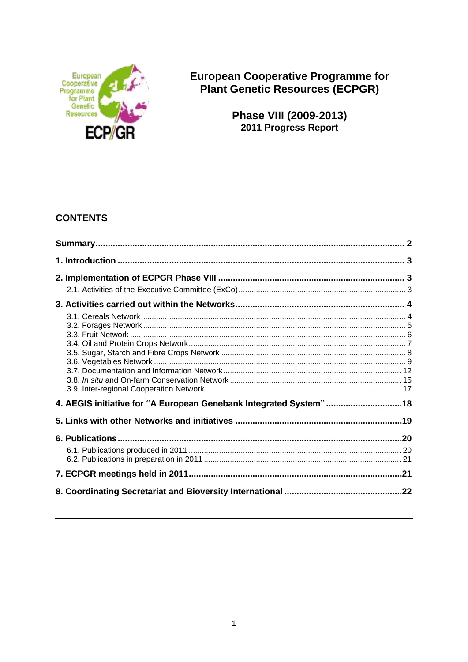

**European Cooperative Programme for Plant Genetic Resources (ECPGR)** 

> Phase VIII (2009-2013) 2011 Progress Report

# **CONTENTS**

| 4. AEGIS initiative for "A European Genebank Integrated System"18 |  |
|-------------------------------------------------------------------|--|
|                                                                   |  |
|                                                                   |  |
|                                                                   |  |
|                                                                   |  |
|                                                                   |  |
|                                                                   |  |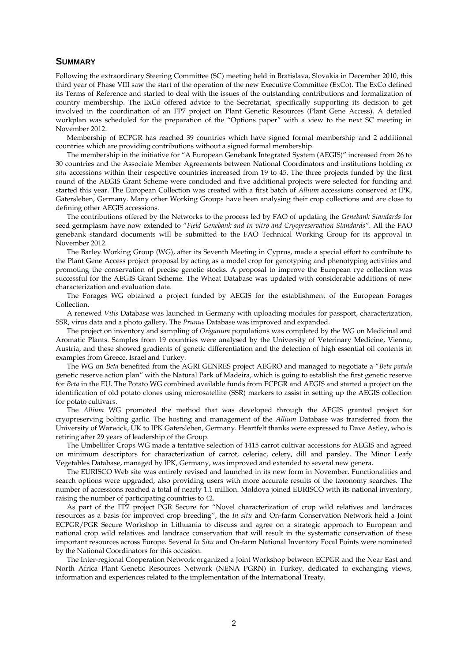### **SUMMARY**

Following the extraordinary Steering Committee (SC) meeting held in Bratislava, Slovakia in December 2010, this third year of Phase VIII saw the start of the operation of the new Executive Committee (ExCo). The ExCo defined its Terms of Reference and started to deal with the issues of the outstanding contributions and formalization of country membership. The ExCo offered advice to the Secretariat, specifically supporting its decision to get involved in the coordination of an FP7 project on Plant Genetic Resources (Plant Gene Access). A detailed workplan was scheduled for the preparation of the "Options paper" with a view to the next SC meeting in November 2012.

Membership of ECPGR has reached 39 countries which have signed formal membership and 2 additional countries which are providing contributions without a signed formal membership.

The membership in the initiative for "A European Genebank Integrated System (AEGIS)" increased from 26 to 30 countries and the Associate Member Agreements between National Coordinators and institutions holding *ex situ* accessions within their respective countries increased from 19 to 45. The three projects funded by the first round of the AEGIS Grant Scheme were concluded and five additional projects were selected for funding and started this year. The European Collection was created with a first batch of *Allium* accessions conserved at IPK, Gatersleben, Germany. Many other Working Groups have been analysing their crop collections and are close to defining other AEGIS accessions.

The contributions offered by the Networks to the process led by FAO of updating the *Genebank Standards* for seed germplasm have now extended to "*Field Genebank and In vitro and Cryopreservation Standards*". All the FAO genebank standard documents will be submitted to the FAO Technical Working Group for its approval in November 2012.

The Barley Working Group (WG), after its Seventh Meeting in Cyprus, made a special effort to contribute to the Plant Gene Access project proposal by acting as a model crop for genotyping and phenotyping activities and promoting the conservation of precise genetic stocks. A proposal to improve the European rye collection was successful for the AEGIS Grant Scheme. The Wheat Database was updated with considerable additions of new characterization and evaluation data.

The Forages WG obtained a project funded by AEGIS for the establishment of the European Forages Collection.

A renewed *Vitis* Database was launched in Germany with uploading modules for passport, characterization, SSR, virus data and a photo gallery. The *Prunus* Database was improved and expanded.

The project on inventory and sampling of *Origanum* populations was completed by the WG on Medicinal and Aromatic Plants. Samples from 19 countries were analysed by the University of Veterinary Medicine, Vienna, Austria, and these showed gradients of genetic differentiation and the detection of high essential oil contents in examples from Greece, Israel and Turkey.

The WG on *Beta* benefited from the AGRI GENRES project AEGRO and managed to negotiate a "*Beta patula* genetic reserve action plan" with the Natural Park of Madeira, which is going to establish the first genetic reserve for *Beta* in the EU. The Potato WG combined available funds from ECPGR and AEGIS and started a project on the identification of old potato clones using microsatellite (SSR) markers to assist in setting up the AEGIS collection for potato cultivars.

The *Allium* WG promoted the method that was developed through the AEGIS granted project for cryopreserving bolting garlic. The hosting and management of the *Allium* Database was transferred from the University of Warwick, UK to IPK Gatersleben, Germany. Heartfelt thanks were expressed to Dave Astley, who is retiring after 29 years of leadership of the Group.

The Umbellifer Crops WG made a tentative selection of 1415 carrot cultivar accessions for AEGIS and agreed on minimum descriptors for characterization of carrot, celeriac, celery, dill and parsley. The Minor Leafy Vegetables Database, managed by IPK, Germany, was improved and extended to several new genera.

The EURISCO Web site was entirely revised and launched in its new form in November. Functionalities and search options were upgraded, also providing users with more accurate results of the taxonomy searches. The number of accessions reached a total of nearly 1.1 million. Moldova joined EURISCO with its national inventory, raising the number of participating countries to 42.

As part of the FP7 project PGR Secure for "Novel characterization of crop wild relatives and landraces resources as a basis for improved crop breeding", the *In situ* and On-farm Conservation Network held a Joint ECPGR/PGR Secure Workshop in Lithuania to discuss and agree on a strategic approach to European and national crop wild relatives and landrace conservation that will result in the systematic conservation of these important resources across Europe. Several *In Situ* and On-farm National Inventory Focal Points were nominated by the National Coordinators for this occasion.

The Inter-regional Cooperation Network organized a Joint Workshop between ECPGR and the Near East and North Africa Plant Genetic Resources Network (NENA PGRN) in Turkey, dedicated to exchanging views, information and experiences related to the implementation of the International Treaty.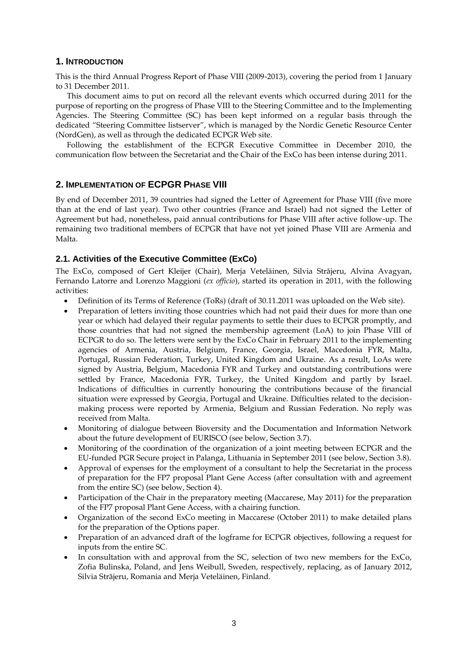# **1. INTRODUCTION**

This is the third Annual Progress Report of Phase VIII (2009-2013), covering the period from 1 January to 31 December 2011.

This document aims to put on record all the relevant events which occurred during 2011 for the purpose of reporting on the progress of Phase VIII to the Steering Committee and to the Implementing Agencies. The Steering Committee (SC) has been kept informed on a regular basis through the dedicated "Steering Committee listserver", which is managed by the Nordic Genetic Resource Center (NordGen), as well as through the dedicated ECPGR Web site.

Following the establishment of the ECPGR Executive Committee in December 2010, the communication flow between the Secretariat and the Chair of the ExCo has been intense during 2011.

# **2. IMPLEMENTATION OF ECPGR PHASE VIII**

By end of December 2011, 39 countries had signed the Letter of Agreement for Phase VIII (five more than at the end of last year). Two other countries (France and Israel) had not signed the Letter of Agreement but had, nonetheless, paid annual contributions for Phase VIII after active follow-up. The remaining two traditional members of ECPGR that have not yet joined Phase VIII are Armenia and Malta.

# **2.1. Activities of the Executive Committee (ExCo)**

The ExCo, composed of Gert Kleijer (Chair), Merja Veteläinen, Silvia Strãjeru, Alvina Avagyan, Fernando Latorre and Lorenzo Maggioni (*ex officio*), started its operation in 2011, with the following activities:

- Definition of its Terms of Reference (ToRs) (draft of 30.11.2011 was uploaded on the Web site).
- Preparation of letters inviting those countries which had not paid their dues for more than one year or which had delayed their regular payments to settle their dues to ECPGR promptly, and those countries that had not signed the membership agreement (LoA) to join Phase VIII of ECPGR to do so. The letters were sent by the ExCo Chair in February 2011 to the implementing agencies of Armenia, Austria, Belgium, France, Georgia, Israel, Macedonia FYR, Malta, Portugal, Russian Federation, Turkey, United Kingdom and Ukraine. As a result, LoAs were signed by Austria, Belgium, Macedonia FYR and Turkey and outstanding contributions were settled by France, Macedonia FYR, Turkey, the United Kingdom and partly by Israel. Indications of difficulties in currently honouring the contributions because of the financial situation were expressed by Georgia, Portugal and Ukraine. Difficulties related to the decisionmaking process were reported by Armenia, Belgium and Russian Federation. No reply was received from Malta.
- Monitoring of dialogue between Bioversity and the Documentation and Information Network about the future development of EURISCO (see below, Section 3.7).
- Monitoring of the coordination of the organization of a joint meeting between ECPGR and the EU-funded PGR Secure project in Palanga, Lithuania in September 2011 (see below, Section 3.8).
- Approval of expenses for the employment of a consultant to help the Secretariat in the process of preparation for the FP7 proposal Plant Gene Access (after consultation with and agreement from the entire SC) (see below, Section 4).
- Participation of the Chair in the preparatory meeting (Maccarese, May 2011) for the preparation of the FP7 proposal Plant Gene Access, with a chairing function.
- Organization of the second ExCo meeting in Maccarese (October 2011) to make detailed plans for the preparation of the Options paper.
- Preparation of an advanced draft of the logframe for ECPGR objectives, following a request for inputs from the entire SC.
- In consultation with and approval from the SC, selection of two new members for the ExCo, Zofia Bulinska, Poland, and Jens Weibull, Sweden, respectively, replacing, as of January 2012, Silvia Strãjeru, Romania and Merja Veteläinen, Finland.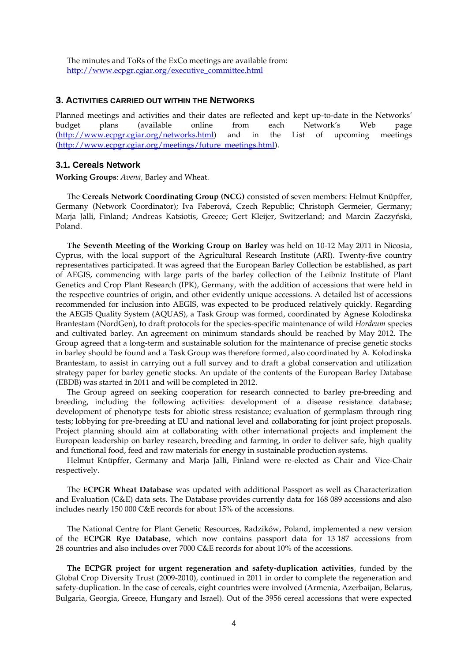The minutes and ToRs of the ExCo meetings are available from: [http://www.ecpgr.cgiar.org/executive\\_committee.html](http://www.ecpgr.cgiar.org/executive_committee.html)

### **3. ACTIVITIES CARRIED OUT WITHIN THE NETWORKS**

Planned meetings and activities and their dates are reflected and kept up-to-date in the Networks' budget plans (available online from each Network's Web page [\(http://www.ecpgr.cgiar.org/networks.html\)](http://www.ecpgr.cgiar.org/networks.html) and in the List of upcoming meetings [\(http://www.ecpgr.cgiar.org/meetings/future\\_meetings.html\)](http://www.ecpgr.cgiar.org/meetings/future_meetings.html).

#### **3.1. Cereals Network**

**Working Groups**: *Avena,* Barley and Wheat.

The **Cereals Network Coordinating Group (NCG)** consisted of seven members: Helmut Knüpffer, Germany (Network Coordinator); Iva Faberová, Czech Republic; Christoph Germeier, Germany; Marja Jalli, Finland; Andreas Katsiotis, Greece; Gert Kleijer, Switzerland; and Marcin Zaczyński, Poland.

**The Seventh Meeting of the Working Group on Barley** was held on 10-12 May 2011 in Nicosia, Cyprus, with the local support of the Agricultural Research Institute (ARI). Twenty-five country representatives participated. It was agreed that the European Barley Collection be established, as part of AEGIS, commencing with large parts of the barley collection of the Leibniz Institute of Plant Genetics and Crop Plant Research (IPK), Germany, with the addition of accessions that were held in the respective countries of origin, and other evidently unique accessions. A detailed list of accessions recommended for inclusion into AEGIS, was expected to be produced relatively quickly. Regarding the AEGIS Quality System (AQUAS), a Task Group was formed, coordinated by Agnese Kolodinska Brantestam (NordGen), to draft protocols for the species-specific maintenance of wild *Hordeum* species and cultivated barley. An agreement on minimum standards should be reached by May 2012. The Group agreed that a long-term and sustainable solution for the maintenance of precise genetic stocks in barley should be found and a Task Group was therefore formed, also coordinated by A. Kolodinska Brantestam, to assist in carrying out a full survey and to draft a global conservation and utilization strategy paper for barley genetic stocks. An update of the contents of the European Barley Database (EBDB) was started in 2011 and will be completed in 2012.

The Group agreed on seeking cooperation for research connected to barley pre-breeding and breeding, including the following activities: development of a disease resistance database; development of phenotype tests for abiotic stress resistance; evaluation of germplasm through ring tests; lobbying for pre-breeding at EU and national level and collaborating for joint project proposals. Project planning should aim at collaborating with other international projects and implement the European leadership on barley research, breeding and farming, in order to deliver safe, high quality and functional food, feed and raw materials for energy in sustainable production systems.

Helmut Knüpffer, Germany and Marja Jalli, Finland were re-elected as Chair and Vice-Chair respectively.

The **ECPGR Wheat Database** was updated with additional Passport as well as Characterization and Evaluation (C&E) data sets. The Database provides currently data for 168 089 accessions and also includes nearly 150 000 C&E records for about 15% of the accessions.

The National Centre for Plant Genetic Resources, Radzików, Poland, implemented a new version of the **ECPGR Rye Database**, which now contains passport data for 13 187 accessions from 28 countries and also includes over 7000 C&E records for about 10% of the accessions.

**The ECPGR project for urgent regeneration and safety-duplication activities**, funded by the Global Crop Diversity Trust (2009-2010), continued in 2011 in order to complete the regeneration and safety-duplication. In the case of cereals, eight countries were involved (Armenia, Azerbaijan, Belarus, Bulgaria, Georgia, Greece, Hungary and Israel). Out of the 3956 cereal accessions that were expected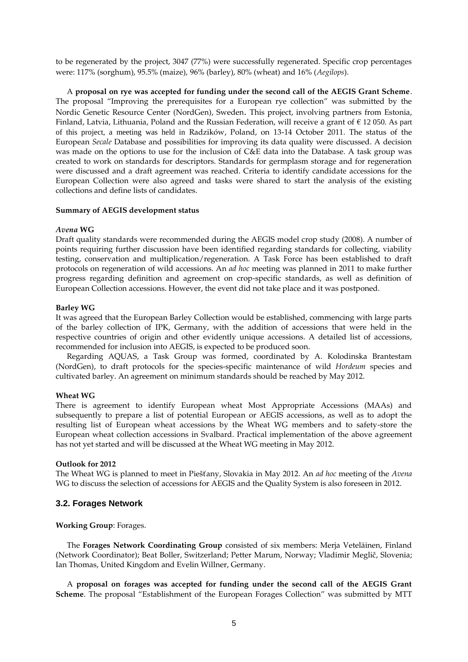to be regenerated by the project, 3047 (77%) were successfully regenerated. Specific crop percentages were: 117% (sorghum), 95.5% (maize), 96% (barley), 80% (wheat) and 16% (*Aegilops*).

A **proposal on rye was accepted for funding under the second call of the AEGIS Grant Scheme**. The proposal "Improving the prerequisites for a European rye collection" was submitted by the Nordic Genetic Resource Center (NordGen), Sweden. This project, involving partners from Estonia, Finland, Latvia, Lithuania, Poland and the Russian Federation, will receive a grant of  $\epsilon$  12 050. As part of this project, a meeting was held in Radzików, Poland, on 13-14 October 2011. The status of the European *Secale* Database and possibilities for improving its data quality were discussed. A decision was made on the options to use for the inclusion of C&E data into the Database. A task group was created to work on standards for descriptors. Standards for germplasm storage and for regeneration were discussed and a draft agreement was reached. Criteria to identify candidate accessions for the European Collection were also agreed and tasks were shared to start the analysis of the existing collections and define lists of candidates.

### **Summary of AEGIS development status**

#### *Avena* **WG**

Draft quality standards were recommended during the AEGIS model crop study (2008). A number of points requiring further discussion have been identified regarding standards for collecting, viability testing, conservation and multiplication/regeneration. A Task Force has been established to draft protocols on regeneration of wild accessions. An *ad hoc* meeting was planned in 2011 to make further progress regarding definition and agreement on crop-specific standards, as well as definition of European Collection accessions. However, the event did not take place and it was postponed.

#### **Barley WG**

It was agreed that the European Barley Collection would be established, commencing with large parts of the barley collection of IPK, Germany, with the addition of accessions that were held in the respective countries of origin and other evidently unique accessions. A detailed list of accessions, recommended for inclusion into AEGIS, is expected to be produced soon.

Regarding AQUAS, a Task Group was formed, coordinated by A. Kolodinska Brantestam (NordGen), to draft protocols for the species-specific maintenance of wild *Hordeum* species and cultivated barley. An agreement on minimum standards should be reached by May 2012.

#### **Wheat WG**

There is agreement to identify European wheat Most Appropriate Accessions (MAAs) and subsequently to prepare a list of potential European or AEGIS accessions, as well as to adopt the resulting list of European wheat accessions by the Wheat WG members and to safety-store the European wheat collection accessions in Svalbard. Practical implementation of the above agreement has not yet started and will be discussed at the Wheat WG meeting in May 2012.

### **Outlook for 2012**

The Wheat WG is planned to meet in Piešťany, Slovakia in May 2012. An *ad hoc* meeting of the *Avena* WG to discuss the selection of accessions for AEGIS and the Quality System is also foreseen in 2012.

### **3.2. Forages Network**

**Working Group**: Forages.

The **Forages Network Coordinating Group** consisted of six members: Merja Veteläinen, Finland (Network Coordinator); Beat Boller, Switzerland; Petter Marum, Norway; Vladimir Meglič, Slovenia; Ian Thomas, United Kingdom and Evelin Willner, Germany.

A **proposal on forages was accepted for funding under the second call of the AEGIS Grant Scheme**. The proposal "Establishment of the European Forages Collection" was submitted by MTT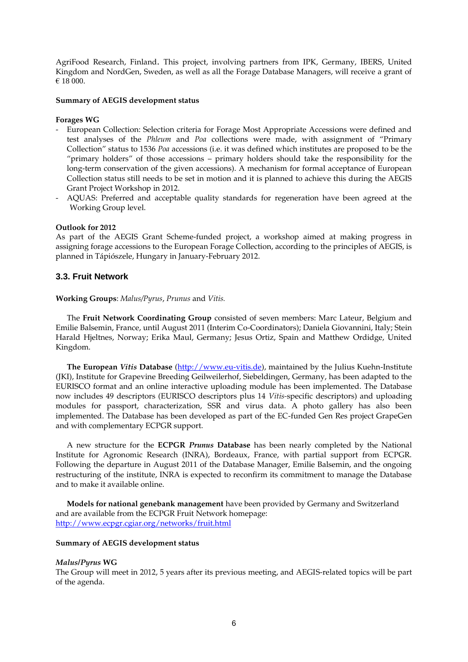AgriFood Research, Finland. This project, involving partners from IPK, Germany, IBERS, United Kingdom and NordGen, Sweden, as well as all the Forage Database Managers, will receive a grant of € 18 000.

### **Summary of AEGIS development status**

#### **Forages WG**

- European Collection: Selection criteria for Forage Most Appropriate Accessions were defined and test analyses of the *Phleum* and *Poa* collections were made, with assignment of "Primary Collection" status to 1536 *Poa* accessions (i.e. it was defined which institutes are proposed to be the "primary holders" of those accessions – primary holders should take the responsibility for the long-term conservation of the given accessions). A mechanism for formal acceptance of European Collection status still needs to be set in motion and it is planned to achieve this during the AEGIS Grant Project Workshop in 2012.
- AQUAS: Preferred and acceptable quality standards for regeneration have been agreed at the Working Group level.

#### **Outlook for 2012**

As part of the AEGIS Grant Scheme-funded project, a workshop aimed at making progress in assigning forage accessions to the European Forage Collection, according to the principles of AEGIS, is planned in Tápiószele, Hungary in January-February 2012.

### **3.3. Fruit Network**

#### **Working Groups**: *Malus/Pyrus*, *Prunus* and *Vitis.*

The **Fruit Network Coordinating Group** consisted of seven members: Marc Lateur, Belgium and Emilie Balsemin, France, until August 2011 (Interim Co-Coordinators); Daniela Giovannini, Italy; Stein Harald Hjeltnes, Norway; Erika Maul, Germany; Jesus Ortiz, Spain and Matthew Ordidge, United Kingdom.

**The European** *Vitis* **Database** [\(http://www.eu-vitis.de\)](http://www.eu-vitis.de/), maintained by the Julius Kuehn-Institute (JKI), Institute for Grapevine Breeding Geilweilerhof, Siebeldingen, Germany, has been adapted to the EURISCO format and an online interactive uploading module has been implemented. The Database now includes 49 descriptors (EURISCO descriptors plus 14 *Vitis-*specific descriptors) and uploading modules for passport, characterization, SSR and virus data. A photo gallery has also been implemented. The Database has been developed as part of the EC-funded Gen Res project GrapeGen and with complementary ECPGR support.

A new structure for the **ECPGR** *Prunus* **Database** has been nearly completed by the National Institute for Agronomic Research (INRA), Bordeaux, France, with partial support from ECPGR. Following the departure in August 2011 of the Database Manager, Emilie Balsemin, and the ongoing restructuring of the institute, INRA is expected to reconfirm its commitment to manage the Database and to make it available online.

**Models for national genebank management** have been provided by Germany and Switzerland and are available from the ECPGR Fruit Network homepage: <http://www.ecpgr.cgiar.org/networks/fruit.html>

#### **Summary of AEGIS development status**

#### *Malus/Pyrus* **WG**

The Group will meet in 2012, 5 years after its previous meeting, and AEGIS-related topics will be part of the agenda.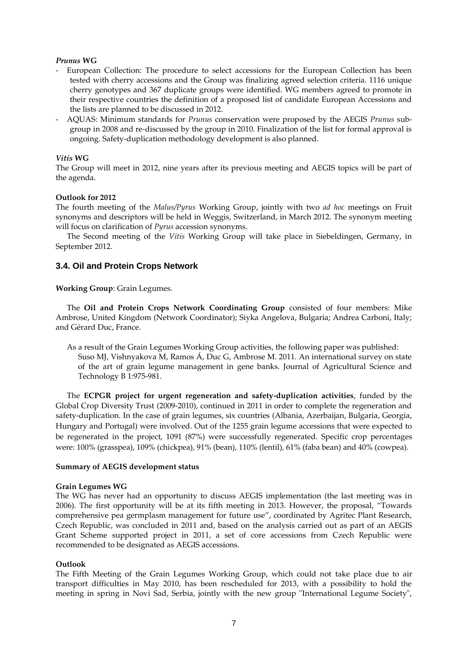### *Prunus* **WG**

- European Collection: The procedure to select accessions for the European Collection has been tested with cherry accessions and the Group was finalizing agreed selection criteria. 1116 unique cherry genotypes and 367 duplicate groups were identified. WG members agreed to promote in their respective countries the definition of a proposed list of candidate European Accessions and the lists are planned to be discussed in 2012.
- AQUAS: Minimum standards for *Prunus* conservation were proposed by the AEGIS *Prunus* subgroup in 2008 and re-discussed by the group in 2010. Finalization of the list for formal approval is ongoing. Safety-duplication methodology development is also planned.

### *Vitis* **WG**

The Group will meet in 2012, nine years after its previous meeting and AEGIS topics will be part of the agenda.

### **Outlook for 2012**

The fourth meeting of the *Malus/Pyrus* Working Group, jointly with two *ad hoc* meetings on Fruit synonyms and descriptors will be held in Weggis, Switzerland, in March 2012. The synonym meeting will focus on clarification of *Pyrus* accession synonyms.

The Second meeting of the *Vitis* Working Group will take place in Siebeldingen, Germany, in September 2012.

# **3.4. Oil and Protein Crops Network**

### **Working Group**: Grain Legumes.

The **Oil and Protein Crops Network Coordinating Group** consisted of four members: Mike Ambrose, United Kingdom (Network Coordinator); Siyka Angelova, Bulgaria; Andrea Carboni, Italy; and Gérard Duc, France.

As a result of the Grain Legumes Working Group activities, the following paper was published: Suso MJ, Vishnyakova M, Ramos Á, Duc G, Ambrose M. 2011. An international survey on state of the art of grain legume management in gene banks. Journal of Agricultural Science and Technology B 1:975-981.

The **ECPGR project for urgent regeneration and safety-duplication activities**, funded by the Global Crop Diversity Trust (2009-2010), continued in 2011 in order to complete the regeneration and safety-duplication. In the case of grain legumes, six countries (Albania, Azerbaijan, Bulgaria, Georgia, Hungary and Portugal) were involved. Out of the 1255 grain legume accessions that were expected to be regenerated in the project, 1091 (87%) were successfully regenerated. Specific crop percentages were: 100% (grasspea), 109% (chickpea), 91% (bean), 110% (lentil), 61% (faba bean) and 40% (cowpea).

### **Summary of AEGIS development status**

### **Grain Legumes WG**

The WG has never had an opportunity to discuss AEGIS implementation (the last meeting was in 2006). The first opportunity will be at its fifth meeting in 2013. However, the proposal, "Towards comprehensive pea germplasm management for future use", coordinated by Agritec Plant Research, Czech Republic, was concluded in 2011 and, based on the analysis carried out as part of an AEGIS Grant Scheme supported project in 2011, a set of core accessions from Czech Republic were recommended to be designated as AEGIS accessions.

### **Outlook**

The Fifth Meeting of the Grain Legumes Working Group, which could not take place due to air transport difficulties in May 2010, has been rescheduled for 2013, with a possibility to hold the meeting in spring in Novi Sad, Serbia, jointly with the new group "International Legume Society",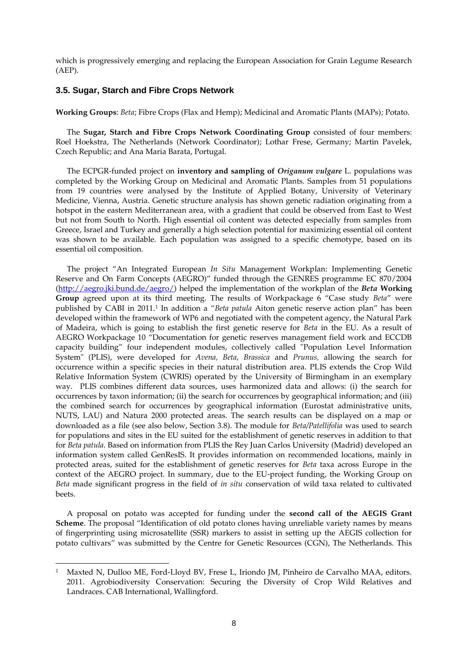which is progressively emerging and replacing the European Association for Grain Legume Research (AEP).

# **3.5. Sugar, Starch and Fibre Crops Network**

**Working Groups**: *Beta*; Fibre Crops (Flax and Hemp); Medicinal and Aromatic Plants (MAPs)*;* Potato.

The **Sugar, Starch and Fibre Crops Network Coordinating Group** consisted of four members: Roel Hoekstra, The Netherlands (Network Coordinator); Lothar Frese, Germany; Martin Pavelek, Czech Republic; and Ana Maria Barata, Portugal.

The ECPGR-funded project on **inventory and sampling of** *Origanum vulgare* L. populations was completed by the Working Group on Medicinal and Aromatic Plants. Samples from 51 populations from 19 countries were analysed by the Institute of Applied Botany, University of Veterinary Medicine, Vienna, Austria. Genetic structure analysis has shown genetic radiation originating from a hotspot in the eastern Mediterranean area, with a gradient that could be observed from East to West but not from South to North. High essential oil content was detected especially from samples from Greece, Israel and Turkey and generally a high selection potential for maximizing essential oil content was shown to be available. Each population was assigned to a specific chemotype, based on its essential oil composition.

The project "An Integrated European *In Situ* Management Workplan: Implementing Genetic Reserve and On Farm Concepts (AEGRO)" funded through the GENRES programme EC 870/2004 [\(http://aegro.jki.bund.de/aegro/\)](http://aegro.jki.bund.de/aegro/) helped the implementation of the workplan of the *Beta* **Working Group** agreed upon at its third meeting. The results of Workpackage 6 "Case study *Beta*" were published by CABI in 2011.<sup>1</sup> In addition a "*Beta patula* Aiton genetic reserve action plan" has been developed within the framework of WP6 and negotiated with the competent agency, the Natural Park of Madeira, which is going to establish the first genetic reserve for *Beta* in the EU. As a result of AEGRO Workpackage 10 "Documentation for genetic reserves management field work and ECCDB capacity building" four independent modules, collectively called "Population Level Information System" (PLIS), were developed for *Avena, Beta, Brassica* and *Prunus,* allowing the search for occurrence within a specific species in their natural distribution area. PLIS extends the Crop Wild Relative Information System (CWRIS) operated by the University of Birmingham in an exemplary way. PLIS combines different data sources, uses harmonized data and allows: (i) the search for occurrences by taxon information; (ii) the search for occurrences by geographical information; and (iii) the combined search for occurrences by geographical information (Eurostat administrative units, NUTS, LAU) and Natura 2000 protected areas. The search results can be displayed on a map or downloaded as a file (see also below, Section 3.8). The module for *Beta/Patellifolia* was used to search for populations and sites in the EU suited for the establishment of genetic reserves in addition to that for *Beta patula*. Based on information from PLIS the Rey Juan Carlos University (Madrid) developed an information system called GenResIS. It provides information on recommended locations, mainly in protected areas, suited for the establishment of genetic reserves for *Beta* taxa across Europe in the context of the AEGRO project. In summary, due to the EU-project funding, the Working Group on *Beta* made significant progress in the field of *in situ* conservation of wild taxa related to cultivated beets.

A proposal on potato was accepted for funding under the **second call of the AEGIS Grant Scheme**. The proposal "Identification of old potato clones having unreliable variety names by means of fingerprinting using microsatellite (SSR) markers to assist in setting up the AEGIS collection for potato cultivars" was submitted by the Centre for Genetic Resources (CGN), The Netherlands. This

 $\overline{a}$ 

Maxted N, Dulloo ME, Ford-Lloyd BV, Frese L, Iriondo JM, Pinheiro de Carvalho MAA, editors. 2011. Agrobiodiversity Conservation: Securing the Diversity of Crop Wild Relatives and Landraces. CAB International, Wallingford.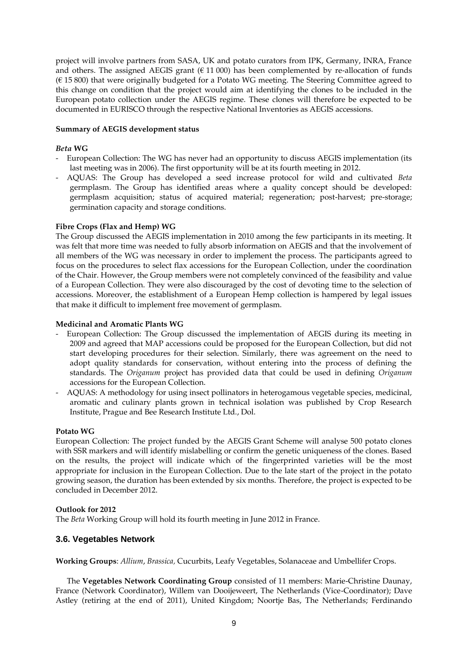project will involve partners from SASA, UK and potato curators from IPK, Germany, INRA, France and others. The assigned AEGIS grant  $(611 000)$  has been complemented by re-allocation of funds (€ 15 800) that were originally budgeted for a Potato WG meeting. The Steering Committee agreed to this change on condition that the project would aim at identifying the clones to be included in the European potato collection under the AEGIS regime. These clones will therefore be expected to be documented in EURISCO through the respective National Inventories as AEGIS accessions.

### **Summary of AEGIS development status**

# *Beta* **WG**

- European Collection: The WG has never had an opportunity to discuss AEGIS implementation (its last meeting was in 2006). The first opportunity will be at its fourth meeting in 2012.
- AQUAS: The Group has developed a seed increase protocol for wild and cultivated *Beta* germplasm. The Group has identified areas where a quality concept should be developed: germplasm acquisition; status of acquired material; regeneration; post-harvest; pre-storage; germination capacity and storage conditions.

### **Fibre Crops (Flax and Hemp) WG**

The Group discussed the AEGIS implementation in 2010 among the few participants in its meeting. It was felt that more time was needed to fully absorb information on AEGIS and that the involvement of all members of the WG was necessary in order to implement the process. The participants agreed to focus on the procedures to select flax accessions for the European Collection, under the coordination of the Chair. However, the Group members were not completely convinced of the feasibility and value of a European Collection. They were also discouraged by the cost of devoting time to the selection of accessions. Moreover, the establishment of a European Hemp collection is hampered by legal issues that make it difficult to implement free movement of germplasm.

### **Medicinal and Aromatic Plants WG**

- European Collection: The Group discussed the implementation of AEGIS during its meeting in 2009 and agreed that MAP accessions could be proposed for the European Collection, but did not start developing procedures for their selection. Similarly, there was agreement on the need to adopt quality standards for conservation, without entering into the process of defining the standards. The *Origanum* project has provided data that could be used in defining *Origanum* accessions for the European Collection.
- AQUAS: A methodology for using insect pollinators in heterogamous vegetable species, medicinal, aromatic and culinary plants grown in technical isolation was published by Crop Research Institute, Prague and Bee Research Institute Ltd., Dol.

### **Potato WG**

European Collection: The project funded by the AEGIS Grant Scheme will analyse 500 potato clones with SSR markers and will identify mislabelling or confirm the genetic uniqueness of the clones. Based on the results, the project will indicate which of the fingerprinted varieties will be the most appropriate for inclusion in the European Collection. Due to the late start of the project in the potato growing season, the duration has been extended by six months. Therefore, the project is expected to be concluded in December 2012.

### **Outlook for 2012**

The *Beta* Working Group will hold its fourth meeting in June 2012 in France.

# **3.6. Vegetables Network**

**Working Groups**: *Allium*, *Brassica,* Cucurbits, Leafy Vegetables, Solanaceae and Umbellifer Crops.

The **Vegetables Network Coordinating Group** consisted of 11 members: Marie-Christine Daunay, France (Network Coordinator), Willem van Dooijeweert, The Netherlands (Vice-Coordinator); Dave Astley (retiring at the end of 2011), United Kingdom; Noortje Bas, The Netherlands; Ferdinando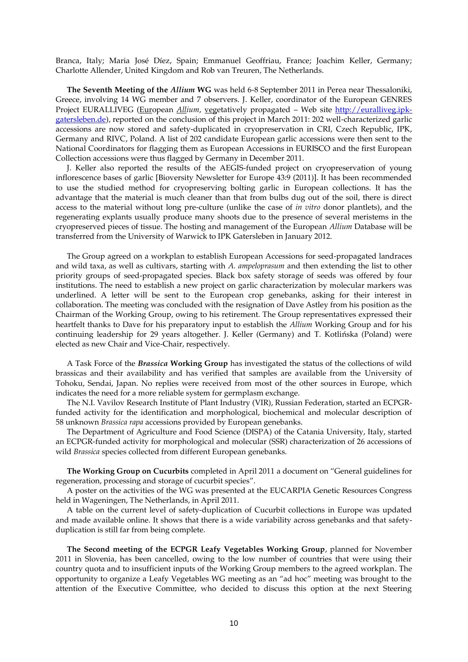Branca, Italy; Maria José Díez, Spain; Emmanuel Geoffriau, France; Joachim Keller, Germany; Charlotte Allender, United Kingdom and Rob van Treuren, The Netherlands.

**The Seventh Meeting of the** *Allium* **WG** was held 6-8 September 2011 in Perea near Thessaloniki, Greece, involving 14 WG member and 7 observers. J. Keller, coordinator of the European GENRES Project EURALLIVEG (European *Allium, vegetatively propagated – Web site [http://euralliveg.ipk](http://euralliveg.ipk-gatersleben.de/)*[gatersleben.de\)](http://euralliveg.ipk-gatersleben.de/), reported on the conclusion of this project in March 2011: 202 well-characterized garlic accessions are now stored and safety-duplicated in cryopreservation in CRI, Czech Republic, IPK, Germany and RIVC, Poland. A list of 202 candidate European garlic accessions were then sent to the National Coordinators for flagging them as European Accessions in EURISCO and the first European Collection accessions were thus flagged by Germany in December 2011.

J. Keller also reported the results of the AEGIS-funded project on cryopreservation of young inflorescence bases of garlic [Bioversity Newsletter for Europe 43:9 (2011)]. It has been recommended to use the studied method for cryopreserving bolting garlic in European collections. It has the advantage that the material is much cleaner than that from bulbs dug out of the soil, there is direct access to the material without long pre-culture (unlike the case of *in vitro* donor plantlets), and the regenerating explants usually produce many shoots due to the presence of several meristems in the cryopreserved pieces of tissue. The hosting and management of the European *Allium* Database will be transferred from the University of Warwick to IPK Gatersleben in January 2012.

The Group agreed on a workplan to establish European Accessions for seed-propagated landraces and wild taxa, as well as cultivars, starting with *A. ampeloprasum* and then extending the list to other priority groups of seed-propagated species. Black box safety storage of seeds was offered by four institutions. The need to establish a new project on garlic characterization by molecular markers was underlined. A letter will be sent to the European crop genebanks, asking for their interest in collaboration. The meeting was concluded with the resignation of Dave Astley from his position as the Chairman of the Working Group, owing to his retirement. The Group representatives expressed their heartfelt thanks to Dave for his preparatory input to establish the *Allium* Working Group and for his continuing leadership for 29 years altogether. J. Keller (Germany) and T. Kotlińska (Poland) were elected as new Chair and Vice-Chair, respectively.

A Task Force of the *Brassica* **Working Group** has investigated the status of the collections of wild brassicas and their availability and has verified that samples are available from the University of Tohoku, Sendai, Japan. No replies were received from most of the other sources in Europe, which indicates the need for a more reliable system for germplasm exchange.

The N.I. Vavilov Research Institute of Plant Industry (VIR), Russian Federation, started an ECPGRfunded activity for the identification and morphological, biochemical and molecular description of 58 unknown *Brassica rapa* accessions provided by European genebanks.

The Department of Agriculture and Food Science (DISPA) of the Catania University, Italy, started an ECPGR-funded activity for morphological and molecular (SSR) characterization of 26 accessions of wild *Brassica* species collected from different European genebanks.

**The Working Group on Cucurbits** completed in April 2011 a document on "General guidelines for regeneration, processing and storage of cucurbit species".

A poster on the activities of the WG was presented at the EUCARPIA Genetic Resources Congress held in Wageningen, The Netherlands, in April 2011.

A table on the current level of safety-duplication of Cucurbit collections in Europe was updated and made available online. It shows that there is a wide variability across genebanks and that safetyduplication is still far from being complete.

**The Second meeting of the ECPGR Leafy Vegetables Working Group**, planned for November 2011 in Slovenia, has been cancelled, owing to the low number of countries that were using their country quota and to insufficient inputs of the Working Group members to the agreed workplan. The opportunity to organize a Leafy Vegetables WG meeting as an "ad hoc" meeting was brought to the attention of the Executive Committee, who decided to discuss this option at the next Steering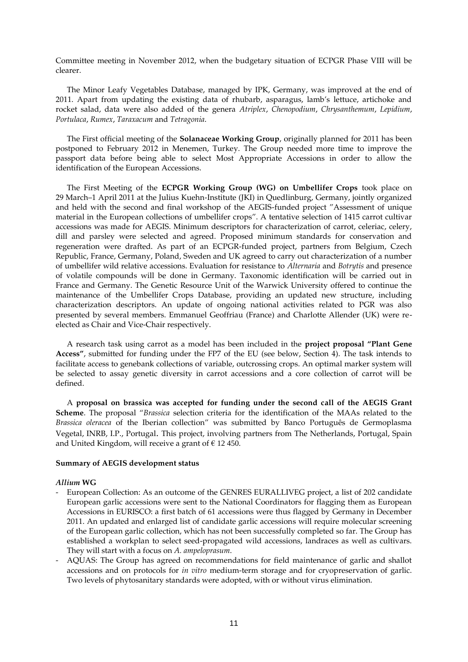Committee meeting in November 2012, when the budgetary situation of ECPGR Phase VIII will be clearer.

The Minor Leafy Vegetables Database, managed by IPK, Germany, was improved at the end of 2011. Apart from updating the existing data of rhubarb, asparagus, lamb's lettuce, artichoke and rocket salad, data were also added of the genera *Atriplex*, *Chenopodium*, *Chrysanthemum*, *Lepidium*, *Portulaca*, *Rumex*, *Taraxacum* and *Tetragonia*.

The First official meeting of the **Solanaceae Working Group**, originally planned for 2011 has been postponed to February 2012 in Menemen, Turkey. The Group needed more time to improve the passport data before being able to select Most Appropriate Accessions in order to allow the identification of the European Accessions.

The First Meeting of the **ECPGR Working Group (WG) on Umbellifer Crops** took place on 29 March–1 April 2011 at the Julius Kuehn-Institute (JKI) in Quedlinburg, Germany, jointly organized and held with the second and final workshop of the AEGIS-funded project "Assessment of unique material in the European collections of umbellifer crops". A tentative selection of 1415 carrot cultivar accessions was made for AEGIS. Minimum descriptors for characterization of carrot, celeriac, celery, dill and parsley were selected and agreed. Proposed minimum standards for conservation and regeneration were drafted. As part of an ECPGR-funded project, partners from Belgium, Czech Republic, France, Germany, Poland, Sweden and UK agreed to carry out characterization of a number of umbellifer wild relative accessions. Evaluation for resistance to *Alternaria* and *Botrytis* and presence of volatile compounds will be done in Germany. Taxonomic identification will be carried out in France and Germany. The Genetic Resource Unit of the Warwick University offered to continue the maintenance of the Umbellifer Crops Database, providing an updated new structure, including characterization descriptors. An update of ongoing national activities related to PGR was also presented by several members. Emmanuel Geoffriau (France) and Charlotte Allender (UK) were reelected as Chair and Vice-Chair respectively.

A research task using carrot as a model has been included in the **project proposal "Plant Gene Access"**, submitted for funding under the FP7 of the EU (see below, Section 4). The task intends to facilitate access to genebank collections of variable, outcrossing crops. An optimal marker system will be selected to assay genetic diversity in carrot accessions and a core collection of carrot will be defined.

A **proposal on brassica was accepted for funding under the second call of the AEGIS Grant Scheme**. The proposal "*Brassica* selection criteria for the identification of the MAAs related to the *Brassica oleracea* of the Iberian collection" was submitted by Banco Português de Germoplasma Vegetal, INRB, I.P., Portugal. This project, involving partners from The Netherlands, Portugal, Spain and United Kingdom, will receive a grant of  $\epsilon$  12 450.

### **Summary of AEGIS development status**

### *Allium* **WG**

- European Collection: As an outcome of the GENRES EURALLIVEG project, a list of 202 candidate European garlic accessions were sent to the National Coordinators for flagging them as European Accessions in EURISCO: a first batch of 61 accessions were thus flagged by Germany in December 2011. An updated and enlarged list of candidate garlic accessions will require molecular screening of the European garlic collection, which has not been successfully completed so far. The Group has established a workplan to select seed-propagated wild accessions, landraces as well as cultivars. They will start with a focus on *A. ampeloprasum*.
- AQUAS: The Group has agreed on recommendations for field maintenance of garlic and shallot accessions and on protocols for *in vitro* medium-term storage and for cryopreservation of garlic. Two levels of phytosanitary standards were adopted, with or without virus elimination.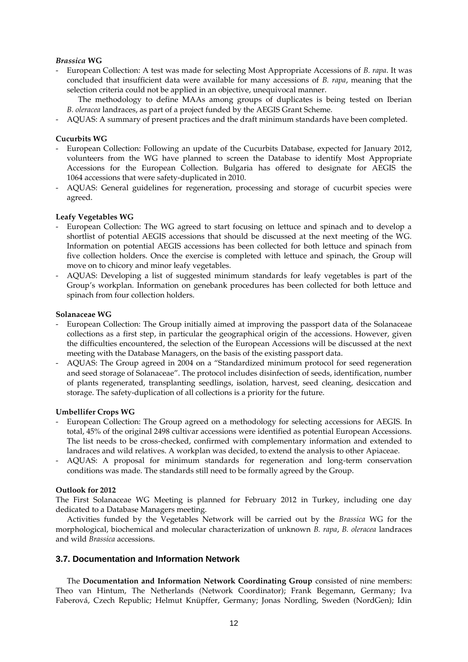### *Brassica* **WG**

- European Collection: A test was made for selecting Most Appropriate Accessions of *B. rapa*. It was concluded that insufficient data were available for many accessions of *B. rapa*, meaning that the selection criteria could not be applied in an objective, unequivocal manner.
	- The methodology to define MAAs among groups of duplicates is being tested on Iberian *B. oleracea* landraces, as part of a project funded by the AEGIS Grant Scheme.
- AQUAS: A summary of present practices and the draft minimum standards have been completed.

### **Cucurbits WG**

- European Collection: Following an update of the Cucurbits Database, expected for January 2012, volunteers from the WG have planned to screen the Database to identify Most Appropriate Accessions for the European Collection. Bulgaria has offered to designate for AEGIS the 1064 accessions that were safety-duplicated in 2010.
- AQUAS: General guidelines for regeneration, processing and storage of cucurbit species were agreed.

### **Leafy Vegetables WG**

- European Collection: The WG agreed to start focusing on lettuce and spinach and to develop a shortlist of potential AEGIS accessions that should be discussed at the next meeting of the WG. Information on potential AEGIS accessions has been collected for both lettuce and spinach from five collection holders. Once the exercise is completed with lettuce and spinach, the Group will move on to chicory and minor leafy vegetables.
- AQUAS: Developing a list of suggested minimum standards for leafy vegetables is part of the Group's workplan. Information on genebank procedures has been collected for both lettuce and spinach from four collection holders.

### **Solanaceae WG**

- European Collection: The Group initially aimed at improving the passport data of the Solanaceae collections as a first step, in particular the geographical origin of the accessions. However, given the difficulties encountered, the selection of the European Accessions will be discussed at the next meeting with the Database Managers, on the basis of the existing passport data.
- AQUAS: The Group agreed in 2004 on a "Standardized minimum protocol for seed regeneration and seed storage of Solanaceae". The protocol includes disinfection of seeds, identification, number of plants regenerated, transplanting seedlings, isolation, harvest, seed cleaning, desiccation and storage. The safety-duplication of all collections is a priority for the future.

### **Umbellifer Crops WG**

- European Collection: The Group agreed on a methodology for selecting accessions for AEGIS. In total, 45% of the original 2498 cultivar accessions were identified as potential European Accessions. The list needs to be cross-checked, confirmed with complementary information and extended to landraces and wild relatives. A workplan was decided, to extend the analysis to other Apiaceae.
- AQUAS: A proposal for minimum standards for regeneration and long-term conservation conditions was made. The standards still need to be formally agreed by the Group.

### **Outlook for 2012**

The First Solanaceae WG Meeting is planned for February 2012 in Turkey, including one day dedicated to a Database Managers meeting.

Activities funded by the Vegetables Network will be carried out by the *Brassica* WG for the morphological, biochemical and molecular characterization of unknown *B. rapa*, *B. oleracea* landraces and wild *Brassica* accessions.

# **3.7. Documentation and Information Network**

The **Documentation and Information Network Coordinating Group** consisted of nine members: Theo van Hintum, The Netherlands (Network Coordinator); Frank Begemann, Germany; Iva Faberová, Czech Republic; Helmut Knüpffer, Germany; Jonas Nordling, Sweden (NordGen); Idin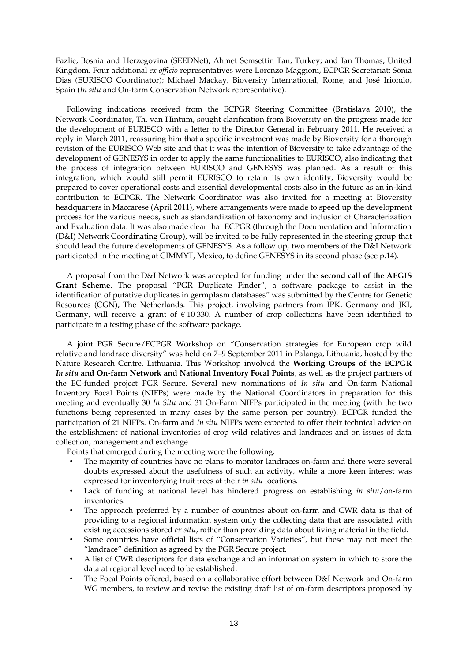Fazlic, Bosnia and Herzegovina (SEEDNet); Ahmet Semsettin Tan, Turkey; and Ian Thomas, United Kingdom. Four additional *ex officio* representatives were Lorenzo Maggioni, ECPGR Secretariat; Sónia Dias (EURISCO Coordinator); Michael Mackay, Bioversity International, Rome; and José Iriondo, Spain (*In situ* and On-farm Conservation Network representative).

Following indications received from the ECPGR Steering Committee (Bratislava 2010), the Network Coordinator, Th. van Hintum, sought clarification from Bioversity on the progress made for the development of EURISCO with a letter to the Director General in February 2011. He received a reply in March 2011, reassuring him that a specific investment was made by Bioversity for a thorough revision of the EURISCO Web site and that it was the intention of Bioversity to take advantage of the development of GENESYS in order to apply the same functionalities to EURISCO, also indicating that the process of integration between EURISCO and GENESYS was planned. As a result of this integration, which would still permit EURISCO to retain its own identity, Bioversity would be prepared to cover operational costs and essential developmental costs also in the future as an in-kind contribution to ECPGR. The Network Coordinator was also invited for a meeting at Bioversity headquarters in Maccarese (April 2011), where arrangements were made to speed up the development process for the various needs, such as standardization of taxonomy and inclusion of Characterization and Evaluation data. It was also made clear that ECPGR (through the Documentation and Information (D&I) Network Coordinating Group), will be invited to be fully represented in the steering group that should lead the future developments of GENESYS. As a follow up, two members of the D&I Network participated in the meeting at CIMMYT, Mexico, to define GENESYS in its second phase (see p.14).

A proposal from the D&I Network was accepted for funding under the **second call of the AEGIS Grant Scheme**. The proposal "PGR Duplicate Finder", a software package to assist in the identification of putative duplicates in germplasm databases" was submitted by the Centre for Genetic Resources (CGN), The Netherlands. This project, involving partners from IPK, Germany and JKI, Germany, will receive a grant of  $\epsilon$  10 330. A number of crop collections have been identified to participate in a testing phase of the software package.

A joint PGR Secure/ECPGR Workshop on "Conservation strategies for European crop wild relative and landrace diversity" was held on 7–9 September 2011 in Palanga, Lithuania, hosted by the Nature Research Centre, Lithuania. This Workshop involved the **Working Groups of the ECPGR**  *In situ* **and On-farm Network and National Inventory Focal Points**, as well as the project partners of the EC-funded project PGR Secure. Several new nominations of *In situ* and On-farm National Inventory Focal Points (NIFPs) were made by the National Coordinators in preparation for this meeting and eventually 30 *In Situ* and 31 On-Farm NIFPs participated in the meeting (with the two functions being represented in many cases by the same person per country). ECPGR funded the participation of 21 NIFPs. On-farm and *In situ* NIFPs were expected to offer their technical advice on the establishment of national inventories of crop wild relatives and landraces and on issues of data collection, management and exchange.

Points that emerged during the meeting were the following:

- The majority of countries have no plans to monitor landraces on-farm and there were several doubts expressed about the usefulness of such an activity, while a more keen interest was expressed for inventorying fruit trees at their *in situ* locations.
- Lack of funding at national level has hindered progress on establishing *in situ*/on-farm inventories.
- The approach preferred by a number of countries about on-farm and CWR data is that of providing to a regional information system only the collecting data that are associated with existing accessions stored *ex situ*, rather than providing data about living material in the field.
- Some countries have official lists of "Conservation Varieties", but these may not meet the "landrace" definition as agreed by the PGR Secure project.
- A list of CWR descriptors for data exchange and an information system in which to store the data at regional level need to be established.
- The Focal Points offered, based on a collaborative effort between D&I Network and On-farm WG members, to review and revise the existing draft list of on-farm descriptors proposed by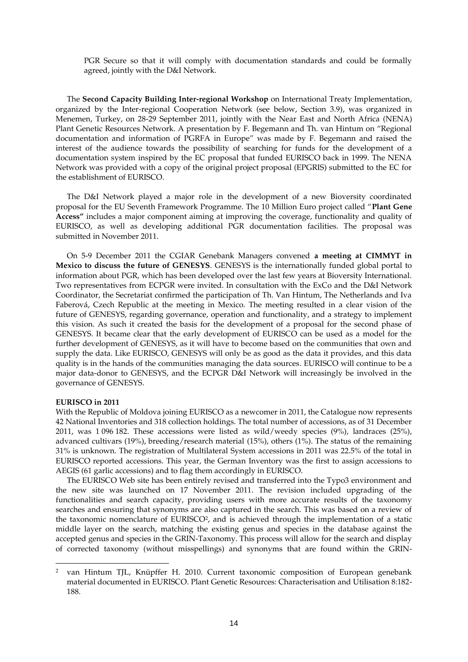PGR Secure so that it will comply with documentation standards and could be formally agreed, jointly with the D&I Network.

The **Second Capacity Building Inter-regional Workshop** on International Treaty Implementation, organized by the Inter-regional Cooperation Network (see below, Section 3.9), was organized in Menemen, Turkey, on 28-29 September 2011, jointly with the Near East and North Africa (NENA) Plant Genetic Resources Network. A presentation by F. Begemann and Th. van Hintum on "Regional documentation and information of PGRFA in Europe" was made by F. Begemann and raised the interest of the audience towards the possibility of searching for funds for the development of a documentation system inspired by the EC proposal that funded EURISCO back in 1999. The NENA Network was provided with a copy of the original project proposal (EPGRIS) submitted to the EC for the establishment of EURISCO.

The D&I Network played a major role in the development of a new Bioversity coordinated proposal for the EU Seventh Framework Programme. The 10 Million Euro project called "**Plant Gene Access"** includes a major component aiming at improving the coverage, functionality and quality of EURISCO, as well as developing additional PGR documentation facilities. The proposal was submitted in November 2011.

On 5-9 December 2011 the CGIAR Genebank Managers convened **a meeting at CIMMYT in Mexico to discuss the future of GENESYS**. GENESYS is the internationally funded global portal to information about PGR, which has been developed over the last few years at Bioversity International. Two representatives from ECPGR were invited. In consultation with the ExCo and the D&I Network Coordinator, the Secretariat confirmed the participation of Th. Van Hintum, The Netherlands and Iva Faberová, Czech Republic at the meeting in Mexico. The meeting resulted in a clear vision of the future of GENESYS, regarding governance, operation and functionality, and a strategy to implement this vision. As such it created the basis for the development of a proposal for the second phase of GENESYS. It became clear that the early development of EURISCO can be used as a model for the further development of GENESYS, as it will have to become based on the communities that own and supply the data. Like EURISCO, GENESYS will only be as good as the data it provides, and this data quality is in the hands of the communities managing the data sources. EURISCO will continue to be a major data-donor to GENESYS, and the ECPGR D&I Network will increasingly be involved in the governance of GENESYS.

#### **EURISCO in 2011**

 $\overline{a}$ 

With the Republic of Moldova joining EURISCO as a newcomer in 2011, the Catalogue now represents 42 National Inventories and 318 collection holdings. The total number of accessions, as of 31 December 2011, was 1 096 182. These accessions were listed as wild/weedy species (9%), landraces (25%), advanced cultivars (19%), breeding/research material (15%), others (1%). The status of the remaining 31% is unknown. The registration of Multilateral System accessions in 2011 was 22.5% of the total in EURISCO reported accessions. This year, the German Inventory was the first to assign accessions to AEGIS (61 garlic accessions) and to flag them accordingly in EURISCO.

The EURISCO Web site has been entirely revised and transferred into the Typo3 environment and the new site was launched on 17 November 2011. The revision included upgrading of the functionalities and search capacity, providing users with more accurate results of the taxonomy searches and ensuring that synonyms are also captured in the search. This was based on a review of the taxonomic nomenclature of EURISCO<sup>2</sup>, and is achieved through the implementation of a static middle layer on the search, matching the existing genus and species in the database against the accepted genus and species in the GRIN-Taxonomy. This process will allow for the search and display of corrected taxonomy (without misspellings) and synonyms that are found within the GRIN-

<sup>2</sup> van Hintum TJL, Knüpffer H. 2010. Current taxonomic composition of European genebank material documented in EURISCO. Plant Genetic Resources: Characterisation and Utilisation 8:182- 188.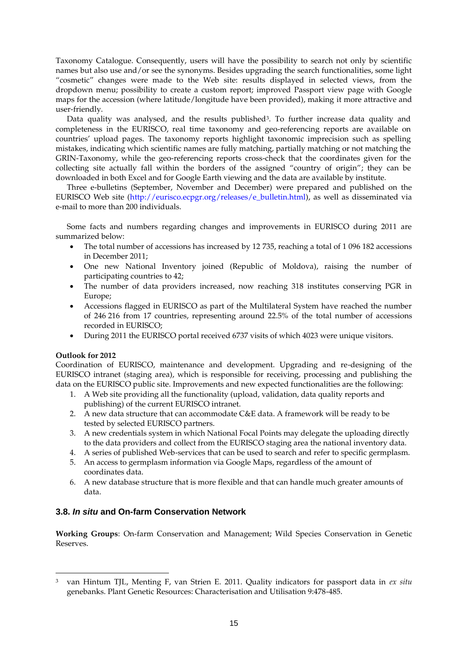Taxonomy Catalogue. Consequently, users will have the possibility to search not only by scientific names but also use and/or see the synonyms. Besides upgrading the search functionalities, some light "cosmetic" changes were made to the Web site: results displayed in selected views, from the dropdown menu; possibility to create a custom report; improved Passport view page with Google maps for the accession (where latitude/longitude have been provided), making it more attractive and user-friendly.

Data quality was analysed, and the results published<sup>3</sup>. To further increase data quality and completeness in the EURISCO, real time taxonomy and geo-referencing reports are available on countries' upload pages. The taxonomy reports highlight taxonomic imprecision such as spelling mistakes, indicating which scientific names are fully matching, partially matching or not matching the GRIN-Taxonomy, while the geo-referencing reports cross-check that the coordinates given for the collecting site actually fall within the borders of the assigned "country of origin"; they can be downloaded in both Excel and for Google Earth viewing and the data are available by institute.

Three e-bulletins (September, November and December) were prepared and published on the EURISCO Web site (http://eurisco.ecpgr.org/releases/e\_bulletin.html), as well as disseminated via e-mail to more than 200 individuals.

Some facts and numbers regarding changes and improvements in EURISCO during 2011 are summarized below:

- The total number of accessions has increased by 12 735, reaching a total of 1 096 182 accessions in December 2011;
- One new National Inventory joined (Republic of Moldova), raising the number of participating countries to 42;
- The number of data providers increased, now reaching 318 institutes conserving PGR in Europe;
- Accessions flagged in EURISCO as part of the Multilateral System have reached the number of 246 216 from 17 countries, representing around 22.5% of the total number of accessions recorded in EURISCO;
- During 2011 the EURISCO portal received 6737 visits of which 4023 were unique visitors.

### **Outlook for 2012**

 $\overline{a}$ 

Coordination of EURISCO, maintenance and development. Upgrading and re-designing of the EURISCO intranet (staging area), which is responsible for receiving, processing and publishing the data on the EURISCO public site. Improvements and new expected functionalities are the following:

- 1. A Web site providing all the functionality (upload, validation, data quality reports and publishing) of the current EURISCO intranet.
- 2. A new data structure that can accommodate C&E data. A framework will be ready to be tested by selected EURISCO partners.
- 3. A new credentials system in which National Focal Points may delegate the uploading directly to the data providers and collect from the EURISCO staging area the national inventory data.
- 4. A series of published Web-services that can be used to search and refer to specific germplasm.
- 5. An access to germplasm information via Google Maps, regardless of the amount of coordinates data.
- 6. A new database structure that is more flexible and that can handle much greater amounts of data.

# **3.8.** *In situ* **and On-farm Conservation Network**

**Working Groups**: On-farm Conservation and Management; Wild Species Conservation in Genetic Reserves.

<sup>3</sup> van Hintum TJL, Menting F, van Strien E. 2011. Quality indicators for passport data in *ex situ* genebanks. Plant Genetic Resources: Characterisation and Utilisation 9:478-485.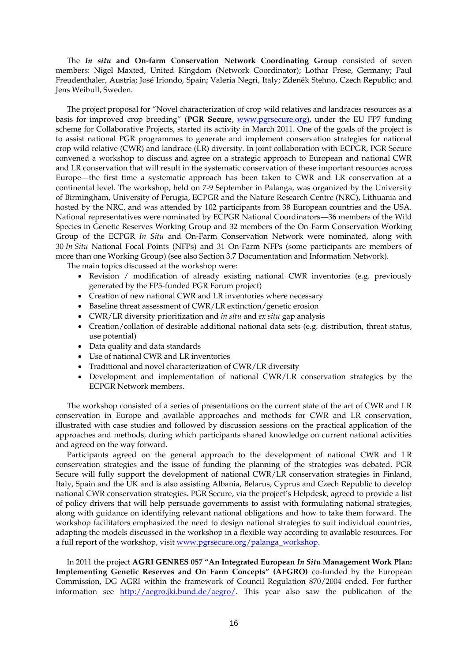The *In situ* **and On-farm Conservation Network Coordinating Group** consisted of seven members: Nigel Maxted, United Kingdom (Network Coordinator); Lothar Frese, Germany; Paul Freudenthaler, Austria; José Iriondo, Spain; Valeria Negri, Italy; Zdeněk Stehno, Czech Republic; and Jens Weibull, Sweden.

The project proposal for "Novel characterization of crop wild relatives and landraces resources as a basis for improved crop breeding" (**PGR Secure**, [www.pgrsecure.org\)](http://www.pgrsecure.org/), under the EU FP7 funding scheme for Collaborative Projects, started its activity in March 2011. One of the goals of the project is to assist national PGR programmes to generate and implement conservation strategies for national crop wild relative (CWR) and landrace (LR) diversity. In joint collaboration with ECPGR, PGR Secure convened a workshop to discuss and agree on a strategic approach to European and national CWR and LR conservation that will result in the systematic conservation of these important resources across Europe—the first time a systematic approach has been taken to CWR and LR conservation at a continental level. The workshop, held on 7-9 September in Palanga, was organized by the University of Birmingham, University of Perugia, ECPGR and the Nature Research Centre (NRC), Lithuania and hosted by the NRC, and was attended by 102 participants from 38 European countries and the USA. National representatives were nominated by ECPGR National Coordinators—36 members of the Wild Species in Genetic Reserves Working Group and 32 members of the On-Farm Conservation Working Group of the ECPGR *In Situ* and On-Farm Conservation Network were nominated, along with 30 *In Situ* National Focal Points (NFPs) and 31 On-Farm NFPs (some participants are members of more than one Working Group) (see also Section 3.7 Documentation and Information Network).

The main topics discussed at the workshop were:

- Revision / modification of already existing national CWR inventories (e.g. previously generated by the FP5-funded PGR Forum project)
- Creation of new national CWR and LR inventories where necessary
- Baseline threat assessment of CWR/LR extinction/genetic erosion
- CWR/LR diversity prioritization and *in situ* and *ex situ* gap analysis
- Creation/collation of desirable additional national data sets (e.g. distribution, threat status, use potential)
- Data quality and data standards
- Use of national CWR and LR inventories
- Traditional and novel characterization of CWR/LR diversity
- Development and implementation of national CWR/LR conservation strategies by the ECPGR Network members.

The workshop consisted of a series of presentations on the current state of the art of CWR and LR conservation in Europe and available approaches and methods for CWR and LR conservation, illustrated with case studies and followed by discussion sessions on the practical application of the approaches and methods, during which participants shared knowledge on current national activities and agreed on the way forward.

Participants agreed on the general approach to the development of national CWR and LR conservation strategies and the issue of funding the planning of the strategies was debated. PGR Secure will fully support the development of national CWR/LR conservation strategies in Finland, Italy, Spain and the UK and is also assisting Albania, Belarus, Cyprus and Czech Republic to develop national CWR conservation strategies. PGR Secure, via the project's Helpdesk, agreed to provide a list of policy drivers that will help persuade governments to assist with formulating national strategies, along with guidance on identifying relevant national obligations and how to take them forward. The workshop facilitators emphasized the need to design national strategies to suit individual countries, adapting the models discussed in the workshop in a flexible way according to available resources. For a full report of the workshop, visit [www.pgrsecure.org/palanga\\_workshop.](http://www.pgrsecure.org/palanga_workshop)

In 2011 the project **AGRI GENRES 057 "An Integrated European** *In Situ* **Management Work Plan: Implementing Genetic Reserves and On Farm Concepts" (AEGRO)** co-funded by the European Commission, DG AGRI within the framework of Council Regulation 870/2004 ended. For further information see [http://aegro.jki.bund.de/aegro/.](http://aegro.jki.bund.de/aegro/) This year also saw the publication of the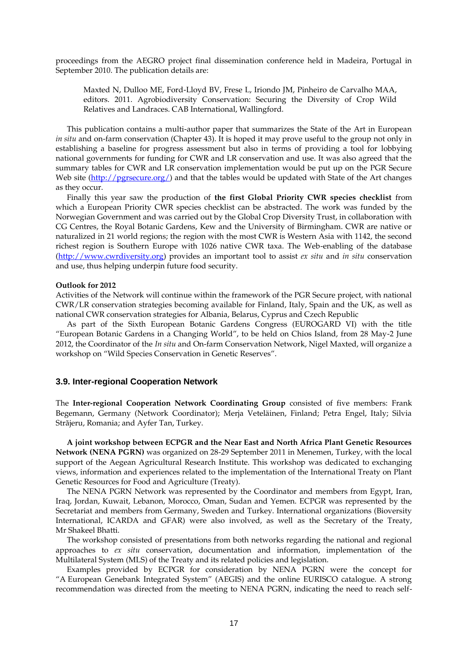proceedings from the AEGRO project final dissemination conference held in Madeira, Portugal in September 2010. The publication details are:

Maxted N, Dulloo ME, Ford-Lloyd BV, Frese L, Iriondo JM, Pinheiro de Carvalho MAA, editors. 2011. Agrobiodiversity Conservation: Securing the Diversity of Crop Wild Relatives and Landraces. CAB International, Wallingford.

This publication contains a multi-author paper that summarizes the State of the Art in European *in situ* and on-farm conservation (Chapter 43). It is hoped it may prove useful to the group not only in establishing a baseline for progress assessment but also in terms of providing a tool for lobbying national governments for funding for CWR and LR conservation and use. It was also agreed that the summary tables for CWR and LR conservation implementation would be put up on the PGR Secure Web site [\(http://pgrsecure.org/\)](http://pgrsecure.org/) and that the tables would be updated with State of the Art changes as they occur.

Finally this year saw the production of **the first Global Priority CWR species checklist** from which a European Priority CWR species checklist can be abstracted. The work was funded by the Norwegian Government and was carried out by the Global Crop Diversity Trust, in collaboration with CG Centres, the Royal Botanic Gardens, Kew and the University of Birmingham. CWR are native or naturalized in 21 world regions; the region with the most CWR is Western Asia with 1142, the second richest region is Southern Europe with 1026 native CWR taxa. The Web-enabling of the database [\(http://www.cwrdiversity.org\)](http://www.cwrdiversity.org/) provides an important tool to assist *ex situ* and *in situ* conservation and use, thus helping underpin future food security.

#### **Outlook for 2012**

Activities of the Network will continue within the framework of the PGR Secure project, with national CWR/LR conservation strategies becoming available for Finland, Italy, Spain and the UK, as well as national CWR conservation strategies for Albania, Belarus, Cyprus and Czech Republic

As part of the Sixth European Botanic Gardens Congress (EUROGARD VI) with the title "European Botanic Gardens in a Changing World", to be held on Chios Island, from 28 May-2 June 2012, the Coordinator of the *In situ* and On-farm Conservation Network, Nigel Maxted, will organize a workshop on "Wild Species Conservation in Genetic Reserves".

#### **3.9. Inter-regional Cooperation Network**

The **Inter-regional Cooperation Network Coordinating Group** consisted of five members: Frank Begemann, Germany (Network Coordinator); Merja Veteläinen, Finland; Petra Engel, Italy; Silvia Strãjeru, Romania; and Ayfer Tan, Turkey.

**A joint workshop between ECPGR and the Near East and North Africa Plant Genetic Resources Network (NENA PGRN)** was organized on 28-29 September 2011 in Menemen, Turkey, with the local support of the Aegean Agricultural Research Institute. This workshop was dedicated to exchanging views, information and experiences related to the implementation of the International Treaty on Plant Genetic Resources for Food and Agriculture (Treaty).

The NENA PGRN Network was represented by the Coordinator and members from Egypt, Iran, Iraq, Jordan, Kuwait, Lebanon, Morocco, Oman, Sudan and Yemen. ECPGR was represented by the Secretariat and members from Germany, Sweden and Turkey. International organizations (Bioversity International, ICARDA and GFAR) were also involved, as well as the Secretary of the Treaty, Mr Shakeel Bhatti.

The workshop consisted of presentations from both networks regarding the national and regional approaches to *ex situ* conservation, documentation and information, implementation of the Multilateral System (MLS) of the Treaty and its related policies and legislation.

Examples provided by ECPGR for consideration by NENA PGRN were the concept for "A European Genebank Integrated System" (AEGIS) and the online EURISCO catalogue. A strong recommendation was directed from the meeting to NENA PGRN, indicating the need to reach self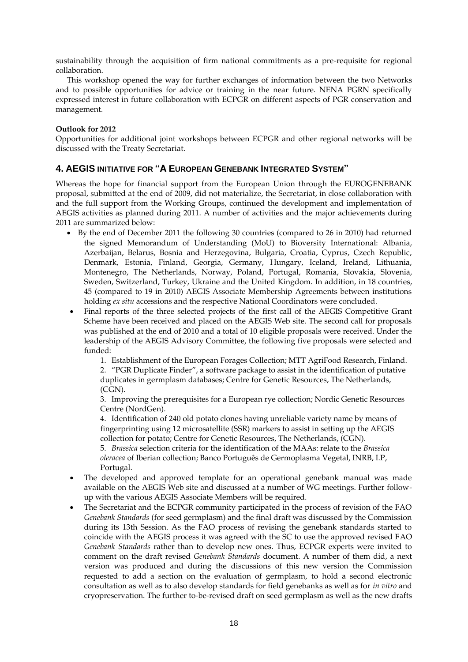sustainability through the acquisition of firm national commitments as a pre-requisite for regional collaboration.

This workshop opened the way for further exchanges of information between the two Networks and to possible opportunities for advice or training in the near future. NENA PGRN specifically expressed interest in future collaboration with ECPGR on different aspects of PGR conservation and management.

# **Outlook for 2012**

Opportunities for additional joint workshops between ECPGR and other regional networks will be discussed with the Treaty Secretariat.

# **4. AEGIS INITIATIVE FOR "A EUROPEAN GENEBANK INTEGRATED SYSTEM"**

Whereas the hope for financial support from the European Union through the EUROGENEBANK proposal, submitted at the end of 2009, did not materialize, the Secretariat, in close collaboration with and the full support from the Working Groups, continued the development and implementation of AEGIS activities as planned during 2011. A number of activities and the major achievements during 2011 are summarized below:

- By the end of December 2011 the following 30 countries (compared to 26 in 2010) had returned the signed Memorandum of Understanding (MoU) to Bioversity International: Albania, Azerbaijan, Belarus, Bosnia and Herzegovina, Bulgaria, Croatia, Cyprus, Czech Republic, Denmark, Estonia, Finland, Georgia, Germany, Hungary, Iceland, Ireland, Lithuania, Montenegro, The Netherlands, Norway, Poland, Portugal, Romania, Slovakia, Slovenia, Sweden, Switzerland, Turkey, Ukraine and the United Kingdom. In addition, in 18 countries, 45 (compared to 19 in 2010) AEGIS Associate Membership Agreements between institutions holding *ex situ* accessions and the respective National Coordinators were concluded.
- Final reports of the three selected projects of the first call of the AEGIS Competitive Grant Scheme have been received and placed on the AEGIS Web site. The second call for proposals was published at the end of 2010 and a total of 10 eligible proposals were received. Under the leadership of the AEGIS Advisory Committee, the following five proposals were selected and funded:

1. Establishment of the European Forages Collection; MTT AgriFood Research, Finland.

2. "PGR Duplicate Finder", a software package to assist in the identification of putative duplicates in germplasm databases; Centre for Genetic Resources, The Netherlands, (CGN).

3. Improving the prerequisites for a European rye collection; Nordic Genetic Resources Centre (NordGen).

4. Identification of 240 old potato clones having unreliable variety name by means of fingerprinting using 12 microsatellite (SSR) markers to assist in setting up the AEGIS collection for potato; Centre for Genetic Resources, The Netherlands, (CGN).

5. *Brassica* selection criteria for the identification of the MAAs: relate to the *Brassica oleracea* of Iberian collection; Banco Português de Germoplasma Vegetal, INRB, I.P, Portugal.

- The developed and approved template for an operational genebank manual was made available on the AEGIS Web site and discussed at a number of WG meetings. Further followup with the various AEGIS Associate Members will be required.
- The Secretariat and the ECPGR community participated in the process of revision of the FAO *Genebank Standards* (for seed germplasm) and the final draft was discussed by the Commission during its 13th Session. As the FAO process of revising the genebank standards started to coincide with the AEGIS process it was agreed with the SC to use the approved revised FAO *Genebank Standards* rather than to develop new ones. Thus, ECPGR experts were invited to comment on the draft revised *Genebank Standards* document. A number of them did, a next version was produced and during the discussions of this new version the Commission requested to add a section on the evaluation of germplasm, to hold a second electronic consultation as well as to also develop standards for field genebanks as well as for *in vitro* and cryopreservation. The further to-be-revised draft on seed germplasm as well as the new drafts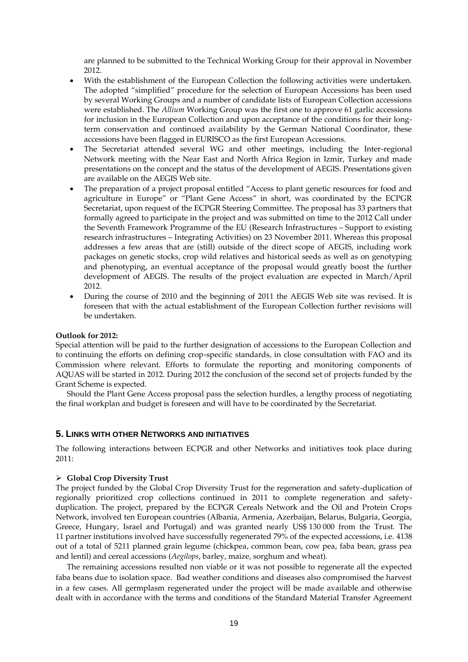are planned to be submitted to the Technical Working Group for their approval in November 2012.

- With the establishment of the European Collection the following activities were undertaken. The adopted "simplified" procedure for the selection of European Accessions has been used by several Working Groups and a number of candidate lists of European Collection accessions were established. The *Allium* Working Group was the first one to approve 61 garlic accessions for inclusion in the European Collection and upon acceptance of the conditions for their longterm conservation and continued availability by the German National Coordinator, these accessions have been flagged in EURISCO as the first European Accessions.
- The Secretariat attended several WG and other meetings, including the Inter-regional Network meeting with the Near East and North Africa Region in Izmir, Turkey and made presentations on the concept and the status of the development of AEGIS. Presentations given are available on the AEGIS Web site.
- The preparation of a project proposal entitled "Access to plant genetic resources for food and agriculture in Europe" or "Plant Gene Access" in short, was coordinated by the ECPGR Secretariat, upon request of the ECPGR Steering Committee. The proposal has 33 partners that formally agreed to participate in the project and was submitted on time to the 2012 Call under the Seventh Framework Programme of the EU (Research Infrastructures – Support to existing research infrastructures – Integrating Activities) on 23 November 2011. Whereas this proposal addresses a few areas that are (still) outside of the direct scope of AEGIS, including work packages on genetic stocks, crop wild relatives and historical seeds as well as on genotyping and phenotyping, an eventual acceptance of the proposal would greatly boost the further development of AEGIS. The results of the project evaluation are expected in March/April 2012.
- During the course of 2010 and the beginning of 2011 the AEGIS Web site was revised. It is foreseen that with the actual establishment of the European Collection further revisions will be undertaken.

#### **Outlook for 2012:**

Special attention will be paid to the further designation of accessions to the European Collection and to continuing the efforts on defining crop-specific standards, in close consultation with FAO and its Commission where relevant. Efforts to formulate the reporting and monitoring components of AQUAS will be started in 2012. During 2012 the conclusion of the second set of projects funded by the Grant Scheme is expected.

Should the Plant Gene Access proposal pass the selection hurdles, a lengthy process of negotiating the final workplan and budget is foreseen and will have to be coordinated by the Secretariat.

### **5. LINKS WITH OTHER NETWORKS AND INITIATIVES**

The following interactions between ECPGR and other Networks and initiatives took place during 2011:

#### **Global Crop Diversity Trust**

The project funded by the Global Crop Diversity Trust for the regeneration and safety-duplication of regionally prioritized crop collections continued in 2011 to complete regeneration and safetyduplication. The project, prepared by the ECPGR Cereals Network and the Oil and Protein Crops Network, involved ten European countries (Albania, Armenia, Azerbaijan, Belarus, Bulgaria, Georgia, Greece, Hungary, Israel and Portugal) and was granted nearly US\$ 130 000 from the Trust. The 11 partner institutions involved have successfully regenerated 79% of the expected accessions, i.e. 4138 out of a total of 5211 planned grain legume (chickpea, common bean, cow pea, faba bean, grass pea and lentil) and cereal accessions (*Aegilops*, barley, maize, sorghum and wheat).

The remaining accessions resulted non viable or it was not possible to regenerate all the expected faba beans due to isolation space. Bad weather conditions and diseases also compromised the harvest in a few cases. All germplasm regenerated under the project will be made available and otherwise dealt with in accordance with the terms and conditions of the Standard Material Transfer Agreement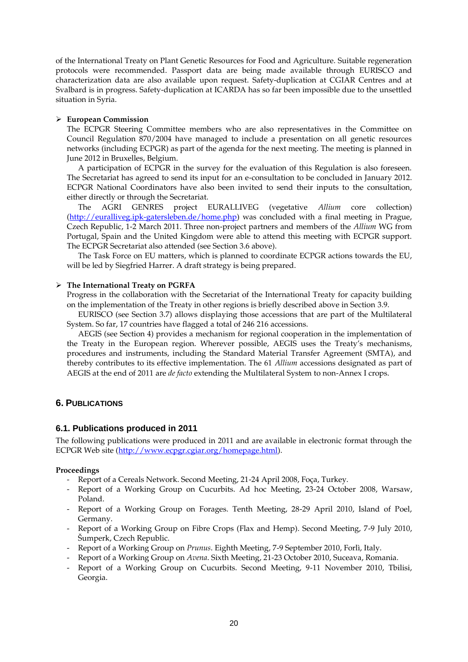of the International Treaty on Plant Genetic Resources for Food and Agriculture. Suitable regeneration protocols were recommended. Passport data are being made available through EURISCO and characterization data are also available upon request. Safety-duplication at CGIAR Centres and at Svalbard is in progress. Safety-duplication at ICARDA has so far been impossible due to the unsettled situation in Syria.

# **European Commission**

The ECPGR Steering Committee members who are also representatives in the Committee on Council Regulation 870/2004 have managed to include a presentation on all genetic resources networks (including ECPGR) as part of the agenda for the next meeting. The meeting is planned in June 2012 in Bruxelles, Belgium.

A participation of ECPGR in the survey for the evaluation of this Regulation is also foreseen. The Secretariat has agreed to send its input for an e-consultation to be concluded in January 2012. ECPGR National Coordinators have also been invited to send their inputs to the consultation, either directly or through the Secretariat.

The AGRI GENRES project EURALLIVEG (vegetative *Allium* core collection) [\(http://euralliveg.ipk-gatersleben.de/home.php\)](http://euralliveg.ipk-gatersleben.de/home.php) was concluded with a final meeting in Prague, Czech Republic, 1-2 March 2011. Three non-project partners and members of the *Allium* WG from Portugal, Spain and the United Kingdom were able to attend this meeting with ECPGR support. The ECPGR Secretariat also attended (see Section 3.6 above).

The Task Force on EU matters, which is planned to coordinate ECPGR actions towards the EU, will be led by Siegfried Harrer. A draft strategy is being prepared.

### **The International Treaty on PGRFA**

Progress in the collaboration with the Secretariat of the International Treaty for capacity building on the implementation of the Treaty in other regions is briefly described above in Section 3.9.

EURISCO (see Section 3.7) allows displaying those accessions that are part of the Multilateral System. So far, 17 countries have flagged a total of 246 216 accessions.

AEGIS (see Section 4) provides a mechanism for regional cooperation in the implementation of the Treaty in the European region. Wherever possible, AEGIS uses the Treaty's mechanisms, procedures and instruments, including the Standard Material Transfer Agreement (SMTA), and thereby contributes to its effective implementation. The 61 *Allium* accessions designated as part of AEGIS at the end of 2011 are *de facto* extending the Multilateral System to non-Annex I crops.

# **6. PUBLICATIONS**

# **6.1. Publications produced in 2011**

The following publications were produced in 2011 and are available in electronic format through the ECPGR Web site [\(http://www.ecpgr.cgiar.org/homepage.html\)](http://www.ecpgr.cgiar.org/homepage.html).

### **Proceedings**

- Report of a Cereals Network. Second Meeting, 21-24 April 2008, Foça, Turkey.
- Report of a Working Group on Cucurbits. Ad hoc Meeting, 23-24 October 2008, Warsaw, Poland.
- Report of a Working Group on Forages. Tenth Meeting, 28-29 April 2010, Island of Poel, Germany.
- Report of a Working Group on Fibre Crops (Flax and Hemp). Second Meeting, 7-9 July 2010, Šumperk, Czech Republic.
- Report of a Working Group on *Prunus*. Eighth Meeting, 7-9 September 2010, Forlì, Italy.
- Report of a Working Group on *Avena*. Sixth Meeting, 21-23 October 2010, Suceava, Romania.
- Report of a Working Group on Cucurbits. Second Meeting, 9-11 November 2010, Tbilisi, Georgia.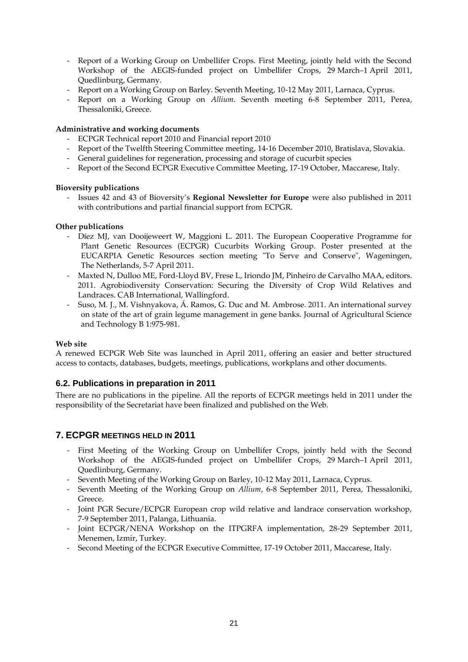- Report of a Working Group on Umbellifer Crops. First Meeting, jointly held with the Second Workshop of the AEGIS-funded project on Umbellifer Crops, 29 March–1 April 2011, Quedlinburg, Germany.
- Report on a Working Group on Barley. Seventh Meeting, 10-12 May 2011, Larnaca, Cyprus.
- Report on a Working Group on *Allium*. Seventh meeting 6-8 September 2011, Perea, Thessaloniki, Greece.

# **Administrative and working documents**

- ECPGR Technical report 2010 and Financial report 2010
- Report of the Twelfth Steering Committee meeting, 14-16 December 2010, Bratislava, Slovakia.
- General guidelines for regeneration, processing and storage of cucurbit species
- Report of the Second ECPGR Executive Committee Meeting, 17-19 October, Maccarese, Italy.

# **Bioversity publications**

- Issues 42 and 43 of Bioversity's **Regional Newsletter for Europe** were also published in 2011 with contributions and partial financial support from ECPGR.

### **Other publications**

- Díez MJ, van Dooijeweert W, Maggioni L. 2011. The European Cooperative Programme for Plant Genetic Resources (ECPGR) Cucurbits Working Group. Poster presented at the EUCARPIA Genetic Resources section meeting "To Serve and Conserve", Wageningen, The Netherlands, 5-7 April 2011.
- Maxted N, Dulloo ME, Ford-Lloyd BV, Frese L, Iriondo JM, Pinheiro de Carvalho MAA, editors. 2011. Agrobiodiversity Conservation: Securing the Diversity of Crop Wild Relatives and Landraces. CAB International, Wallingford.
- Suso, M. J., M. Vishnyakova, Á. Ramos, G. Duc and M. Ambrose. 2011. An international survey on state of the art of grain legume management in gene banks. Journal of Agricultural Science and Technology B 1:975-981.

### **Web site**

A renewed ECPGR Web Site was launched in April 2011, offering an easier and better structured access to contacts, databases, budgets, meetings, publications, workplans and other documents.

# **6.2. Publications in preparation in 2011**

There are no publications in the pipeline. All the reports of ECPGR meetings held in 2011 under the responsibility of the Secretariat have been finalized and published on the Web.

# **7. ECPGR MEETINGS HELD IN 2011**

- First Meeting of the Working Group on Umbellifer Crops, jointly held with the Second Workshop of the AEGIS-funded project on Umbellifer Crops, 29 March–1 April 2011, Quedlinburg, Germany.
- Seventh Meeting of the Working Group on Barley, 10-12 May 2011, Larnaca, Cyprus.
- Seventh Meeting of the Working Group on *Allium*, 6-8 September 2011, Perea, Thessaloniki, Greece.
- Joint PGR Secure/ECPGR European crop wild relative and landrace conservation workshop, 7-9 September 2011, Palanga, Lithuania.
- Joint ECPGR/NENA Workshop on the ITPGRFA implementation, 28-29 September 2011, Menemen, Izmir, Turkey.
- Second Meeting of the ECPGR Executive Committee, 17-19 October 2011, Maccarese, Italy.